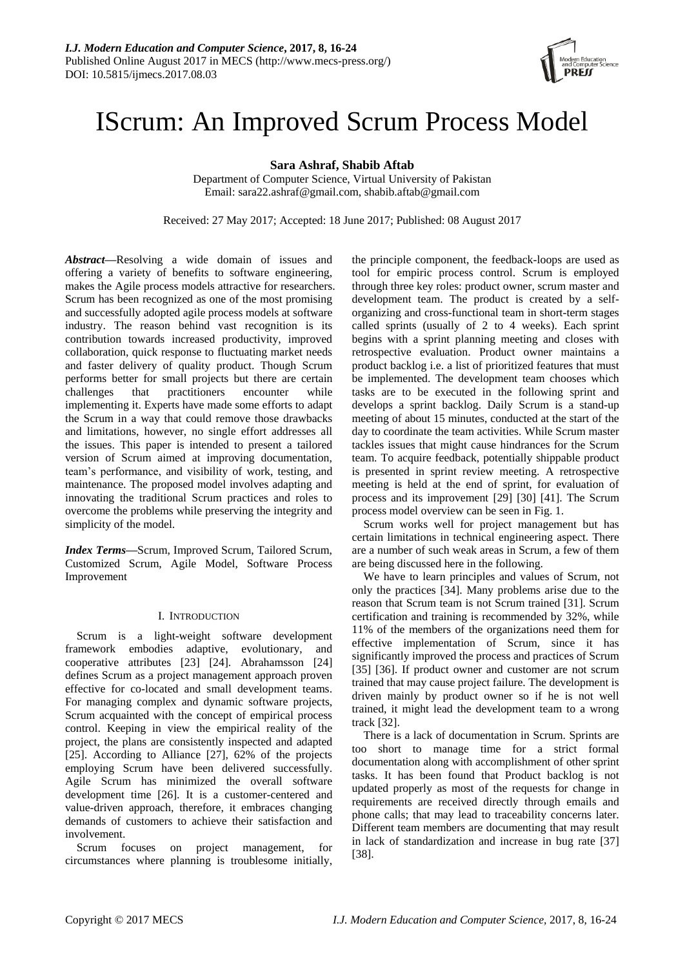

# IScrum: An Improved Scrum Process Model

**Sara Ashraf, Shabib Aftab**

Department of Computer Science, Virtual University of Pakistan Email: sara22.ashraf@gmail.com, shabib.aftab@gmail.com

Received: 27 May 2017; Accepted: 18 June 2017; Published: 08 August 2017

*Abstract***—**Resolving a wide domain of issues and offering a variety of benefits to software engineering, makes the Agile process models attractive for researchers. Scrum has been recognized as one of the most promising and successfully adopted agile process models at software industry. The reason behind vast recognition is its contribution towards increased productivity, improved collaboration, quick response to fluctuating market needs and faster delivery of quality product. Though Scrum performs better for small projects but there are certain challenges that practitioners encounter while implementing it. Experts have made some efforts to adapt the Scrum in a way that could remove those drawbacks and limitations, however, no single effort addresses all the issues. This paper is intended to present a tailored version of Scrum aimed at improving documentation, team's performance, and visibility of work, testing, and maintenance. The proposed model involves adapting and innovating the traditional Scrum practices and roles to overcome the problems while preserving the integrity and simplicity of the model.

*Index Terms***—**Scrum, Improved Scrum, Tailored Scrum, Customized Scrum, Agile Model, Software Process Improvement

# I. INTRODUCTION

Scrum is a light-weight software development framework embodies adaptive, evolutionary, and cooperative attributes [23] [24]. Abrahamsson [24] defines Scrum as a project management approach proven effective for co-located and small development teams. For managing complex and dynamic software projects, Scrum acquainted with the concept of empirical process control. Keeping in view the empirical reality of the project, the plans are consistently inspected and adapted [25]. According to Alliance [27], 62% of the projects employing Scrum have been delivered successfully. Agile Scrum has minimized the overall software development time [26]. It is a customer-centered and value-driven approach, therefore, it embraces changing demands of customers to achieve their satisfaction and involvement.

Scrum focuses on project management, for circumstances where planning is troublesome initially, the principle component, the feedback-loops are used as tool for empiric process control. Scrum is employed through three key roles: product owner, scrum master and development team. The product is created by a selforganizing and cross-functional team in short-term stages called sprints (usually of 2 to 4 weeks). Each sprint begins with a sprint planning meeting and closes with retrospective evaluation. Product owner maintains a product backlog i.e. a list of prioritized features that must be implemented. The development team chooses which tasks are to be executed in the following sprint and develops a sprint backlog. Daily Scrum is a stand-up meeting of about 15 minutes, conducted at the start of the day to coordinate the team activities. While Scrum master tackles issues that might cause hindrances for the Scrum team. To acquire feedback, potentially shippable product is presented in sprint review meeting. A retrospective meeting is held at the end of sprint, for evaluation of process and its improvement [29] [30] [41]. The Scrum process model overview can be seen in Fig. 1.

Scrum works well for project management but has certain limitations in technical engineering aspect. There are a number of such weak areas in Scrum, a few of them are being discussed here in the following.

We have to learn principles and values of Scrum, not only the practices [34]. Many problems arise due to the reason that Scrum team is not Scrum trained [31]. Scrum certification and training is recommended by 32%, while 11% of the members of the organizations need them for effective implementation of Scrum, since it has significantly improved the process and practices of Scrum [35] [36]. If product owner and customer are not scrum trained that may cause project failure. The development is driven mainly by product owner so if he is not well trained, it might lead the development team to a wrong track [32].

There is a lack of documentation in Scrum. Sprints are too short to manage time for a strict formal documentation along with accomplishment of other sprint tasks. It has been found that Product backlog is not updated properly as most of the requests for change in requirements are received directly through emails and phone calls; that may lead to traceability concerns later. Different team members are documenting that may result in lack of standardization and increase in bug rate [37] [38].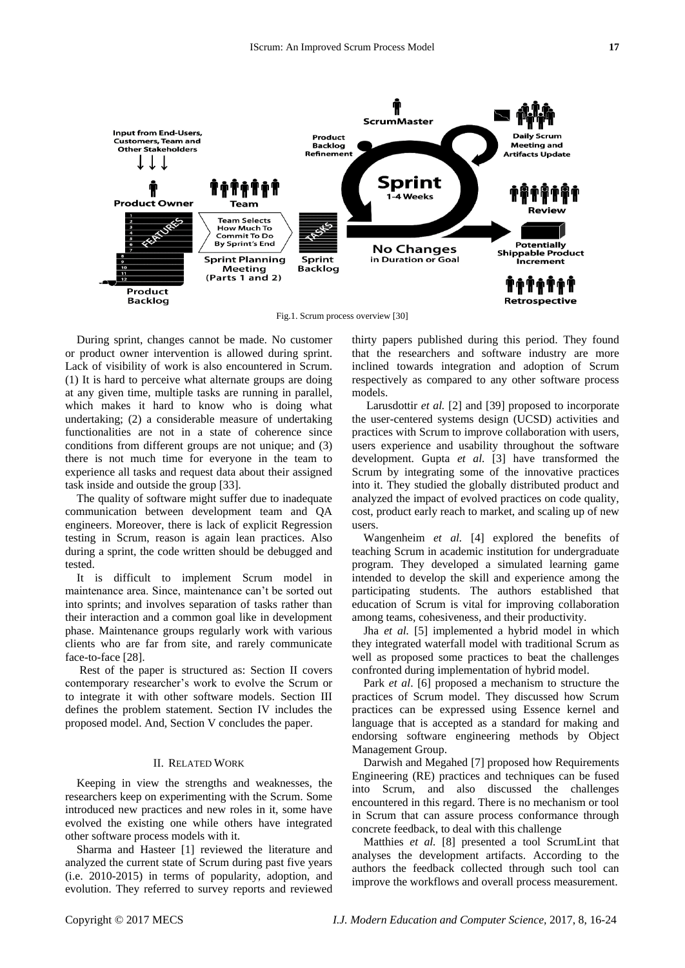

Fig.1. Scrum process overview [30]

During sprint, changes cannot be made. No customer or product owner intervention is allowed during sprint. Lack of visibility of work is also encountered in Scrum. (1) It is hard to perceive what alternate groups are doing at any given time, multiple tasks are running in parallel, which makes it hard to know who is doing what undertaking; (2) a considerable measure of undertaking functionalities are not in a state of coherence since conditions from different groups are not unique; and (3) there is not much time for everyone in the team to experience all tasks and request data about their assigned task inside and outside the group [33].

The quality of software might suffer due to inadequate communication between development team and QA engineers. Moreover, there is lack of explicit Regression testing in Scrum, reason is again lean practices. Also during a sprint, the code written should be debugged and tested.

It is difficult to implement Scrum model in maintenance area. Since, maintenance can't be sorted out into sprints; and involves separation of tasks rather than their interaction and a common goal like in development phase. Maintenance groups regularly work with various clients who are far from site, and rarely communicate face-to-face [28].

Rest of the paper is structured as: Section II covers contemporary researcher's work to evolve the Scrum or to integrate it with other software models. Section III defines the problem statement. Section IV includes the proposed model. And, Section V concludes the paper.

# II. RELATED WORK

Keeping in view the strengths and weaknesses, the researchers keep on experimenting with the Scrum. Some introduced new practices and new roles in it, some have evolved the existing one while others have integrated other software process models with it.

Sharma and Hasteer [1] reviewed the literature and analyzed the current state of Scrum during past five years (i.e. 2010-2015) in terms of popularity, adoption, and evolution. They referred to survey reports and reviewed

thirty papers published during this period. They found that the researchers and software industry are more inclined towards integration and adoption of Scrum respectively as compared to any other software process models.

Larusdottir *et al.* [2] and [39] proposed to incorporate the user-centered systems design (UCSD) activities and practices with Scrum to improve collaboration with users, users experience and usability throughout the software development. Gupta *et al.* [3] have transformed the Scrum by integrating some of the innovative practices into it. They studied the globally distributed product and analyzed the impact of evolved practices on code quality, cost, product early reach to market, and scaling up of new users.

Wangenheim *et al.* [4] explored the benefits of teaching Scrum in academic institution for undergraduate program. They developed a simulated learning game intended to develop the skill and experience among the participating students. The authors established that education of Scrum is vital for improving collaboration among teams, cohesiveness, and their productivity.

Jha *et al.* [5] implemented a hybrid model in which they integrated waterfall model with traditional Scrum as well as proposed some practices to beat the challenges confronted during implementation of hybrid model.

Park *et al*. [6] proposed a mechanism to structure the practices of Scrum model. They discussed how Scrum practices can be expressed using Essence kernel and language that is accepted as a standard for making and endorsing software engineering methods by Object Management Group.

Darwish and Megahed [7] proposed how Requirements Engineering (RE) practices and techniques can be fused into Scrum, and also discussed the challenges encountered in this regard. There is no mechanism or tool in Scrum that can assure process conformance through concrete feedback, to deal with this challenge

Matthies *et al.* [8] presented a tool ScrumLint that analyses the development artifacts. According to the authors the feedback collected through such tool can improve the workflows and overall process measurement.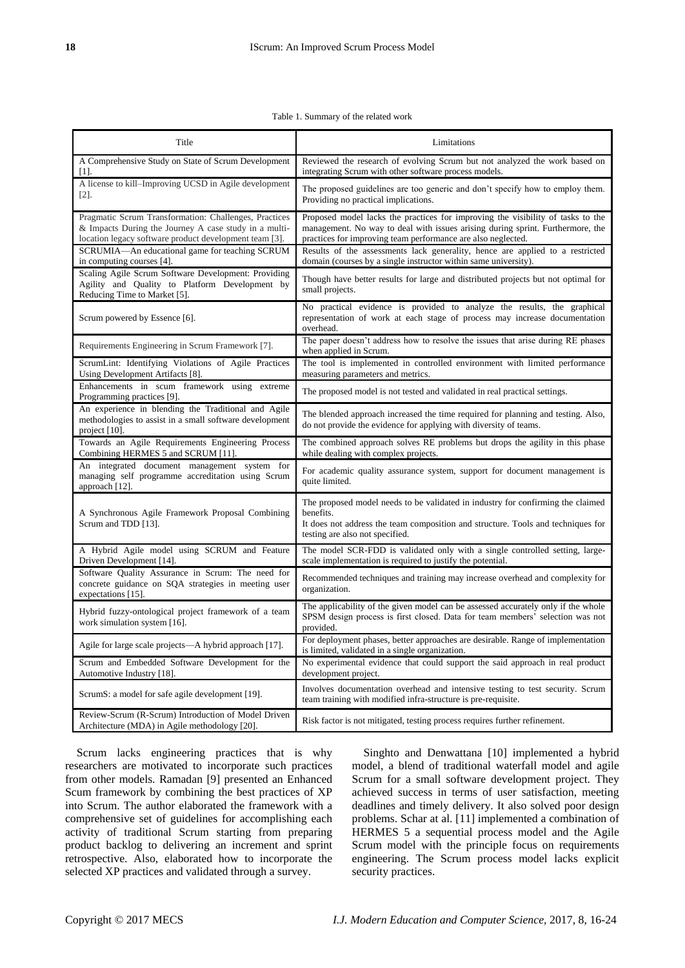#### Table 1. Summary of the related work

| Title                                                                                                                                                                    | Limitations                                                                                                                                                                                                                       |
|--------------------------------------------------------------------------------------------------------------------------------------------------------------------------|-----------------------------------------------------------------------------------------------------------------------------------------------------------------------------------------------------------------------------------|
| A Comprehensive Study on State of Scrum Development<br>$\lceil 1 \rceil$ .                                                                                               | Reviewed the research of evolving Scrum but not analyzed the work based on<br>integrating Scrum with other software process models.                                                                                               |
| A license to kill-Improving UCSD in Agile development<br>$\lceil 2 \rceil$ .                                                                                             | The proposed guidelines are too generic and don't specify how to employ them.<br>Providing no practical implications.                                                                                                             |
| Pragmatic Scrum Transformation: Challenges, Practices<br>& Impacts During the Journey A case study in a multi-<br>location legacy software product development team [3]. | Proposed model lacks the practices for improving the visibility of tasks to the<br>management. No way to deal with issues arising during sprint. Furthermore, the<br>practices for improving team performance are also neglected. |
| SCRUMIA-An educational game for teaching SCRUM<br>in computing courses [4].                                                                                              | Results of the assessments lack generality, hence are applied to a restricted<br>domain (courses by a single instructor within same university).                                                                                  |
| Scaling Agile Scrum Software Development: Providing<br>Agility and Quality to Platform Development by<br>Reducing Time to Market [5].                                    | Though have better results for large and distributed projects but not optimal for<br>small projects.                                                                                                                              |
| Scrum powered by Essence [6].                                                                                                                                            | No practical evidence is provided to analyze the results, the graphical<br>representation of work at each stage of process may increase documentation<br>overhead.                                                                |
| Requirements Engineering in Scrum Framework [7].                                                                                                                         | The paper doesn't address how to resolve the issues that arise during RE phases<br>when applied in Scrum.                                                                                                                         |
| ScrumLint: Identifying Violations of Agile Practices<br>Using Development Artifacts [8].                                                                                 | The tool is implemented in controlled environment with limited performance<br>measuring parameters and metrics.                                                                                                                   |
| Enhancements in scum framework using extreme<br>Programming practices [9].                                                                                               | The proposed model is not tested and validated in real practical settings.                                                                                                                                                        |
| An experience in blending the Traditional and Agile<br>methodologies to assist in a small software development<br>project [10].                                          | The blended approach increased the time required for planning and testing. Also,<br>do not provide the evidence for applying with diversity of teams.                                                                             |
| Towards an Agile Requirements Engineering Process<br>Combining HERMES 5 and SCRUM [11].                                                                                  | The combined approach solves RE problems but drops the agility in this phase<br>while dealing with complex projects.                                                                                                              |
| An integrated document management system for<br>managing self programme accreditation using Scrum<br>approach [12].                                                      | For academic quality assurance system, support for document management is<br>quite limited.                                                                                                                                       |
| A Synchronous Agile Framework Proposal Combining<br>Scrum and TDD [13].                                                                                                  | The proposed model needs to be validated in industry for confirming the claimed<br>benefits.<br>It does not address the team composition and structure. Tools and techniques for<br>testing are also not specified.               |
| A Hybrid Agile model using SCRUM and Feature<br>Driven Development [14].                                                                                                 | The model SCR-FDD is validated only with a single controlled setting, large-<br>scale implementation is required to justify the potential.                                                                                        |
| Software Quality Assurance in Scrum: The need for<br>concrete guidance on SQA strategies in meeting user<br>expectations [15].                                           | Recommended techniques and training may increase overhead and complexity for<br>organization.                                                                                                                                     |
| Hybrid fuzzy-ontological project framework of a team<br>work simulation system [16].                                                                                     | The applicability of the given model can be assessed accurately only if the whole<br>SPSM design process is first closed. Data for team members' selection was not<br>provided.                                                   |
| Agile for large scale projects-A hybrid approach [17].                                                                                                                   | For deployment phases, better approaches are desirable. Range of implementation<br>is limited, validated in a single organization.                                                                                                |
| Scrum and Embedded Software Development for the<br>Automotive Industry [18].                                                                                             | No experimental evidence that could support the said approach in real product<br>development project.                                                                                                                             |
| ScrumS: a model for safe agile development [19].                                                                                                                         | Involves documentation overhead and intensive testing to test security. Scrum<br>team training with modified infra-structure is pre-requisite.                                                                                    |
| Review-Scrum (R-Scrum) Introduction of Model Driven<br>Architecture (MDA) in Agile methodology [20].                                                                     | Risk factor is not mitigated, testing process requires further refinement.                                                                                                                                                        |

Scrum lacks engineering practices that is why researchers are motivated to incorporate such practices from other models. Ramadan [9] presented an Enhanced Scum framework by combining the best practices of XP into Scrum. The author elaborated the framework with a comprehensive set of guidelines for accomplishing each activity of traditional Scrum starting from preparing product backlog to delivering an increment and sprint retrospective. Also, elaborated how to incorporate the selected XP practices and validated through a survey.

Singhto and Denwattana [10] implemented a hybrid model, a blend of traditional waterfall model and agile Scrum for a small software development project. They achieved success in terms of user satisfaction, meeting deadlines and timely delivery. It also solved poor design problems. Schar at al. [11] implemented a combination of HERMES 5 a sequential process model and the Agile Scrum model with the principle focus on requirements engineering. The Scrum process model lacks explicit security practices.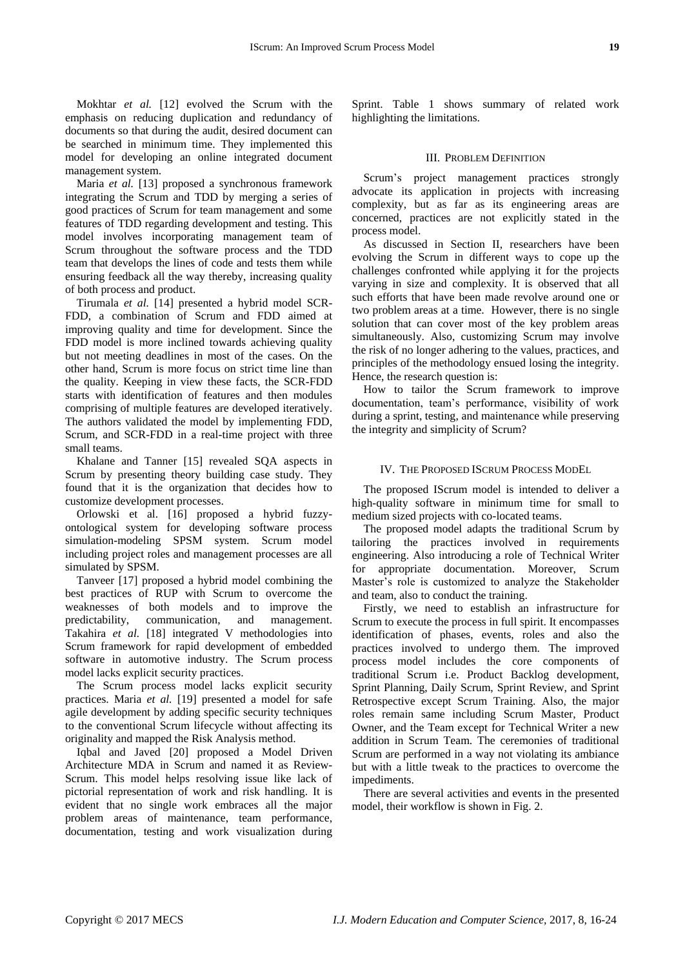management system. Maria *et al.* [13] proposed a synchronous framework integrating the Scrum and TDD by merging a series of good practices of Scrum for team management and some features of TDD regarding development and testing. This model involves incorporating management team of Scrum throughout the software process and the TDD team that develops the lines of code and tests them while ensuring feedback all the way thereby, increasing quality of both process and product.

Tirumala *et al.* [14] presented a hybrid model SCR-FDD, a combination of Scrum and FDD aimed at improving quality and time for development. Since the FDD model is more inclined towards achieving quality but not meeting deadlines in most of the cases. On the other hand, Scrum is more focus on strict time line than the quality. Keeping in view these facts, the SCR-FDD starts with identification of features and then modules comprising of multiple features are developed iteratively. The authors validated the model by implementing FDD, Scrum, and SCR-FDD in a real-time project with three small teams.

Khalane and Tanner [15] revealed SQA aspects in Scrum by presenting theory building case study. They found that it is the organization that decides how to customize development processes.

Orlowski et al. [16] proposed a hybrid fuzzyontological system for developing software process simulation-modeling SPSM system. Scrum model including project roles and management processes are all simulated by SPSM.

Tanveer [17] proposed a hybrid model combining the best practices of RUP with Scrum to overcome the weaknesses of both models and to improve the predictability, communication, and management. Takahira *et al.* [18] integrated V methodologies into Scrum framework for rapid development of embedded software in automotive industry. The Scrum process model lacks explicit security practices.

The Scrum process model lacks explicit security practices. Maria *et al.* [19] presented a model for safe agile development by adding specific security techniques to the conventional Scrum lifecycle without affecting its originality and mapped the Risk Analysis method.

Iqbal and Javed [20] proposed a Model Driven Architecture MDA in Scrum and named it as Review-Scrum. This model helps resolving issue like lack of pictorial representation of work and risk handling. It is evident that no single work embraces all the major problem areas of maintenance, team performance, documentation, testing and work visualization during

Sprint. Table 1 shows summary of related work highlighting the limitations.

## III. PROBLEM DEFINITION

Scrum's project management practices strongly advocate its application in projects with increasing complexity, but as far as its engineering areas are concerned, practices are not explicitly stated in the process model.

As discussed in Section II, researchers have been evolving the Scrum in different ways to cope up the challenges confronted while applying it for the projects varying in size and complexity. It is observed that all such efforts that have been made revolve around one or two problem areas at a time. However, there is no single solution that can cover most of the key problem areas simultaneously. Also, customizing Scrum may involve the risk of no longer adhering to the values, practices, and principles of the methodology ensued losing the integrity. Hence, the research question is:

How to tailor the Scrum framework to improve documentation, team's performance, visibility of work during a sprint, testing, and maintenance while preserving the integrity and simplicity of Scrum?

# IV. THE PROPOSED ISCRUM PROCESS MODEL

The proposed IScrum model is intended to deliver a high-quality software in minimum time for small to medium sized projects with co-located teams.

The proposed model adapts the traditional Scrum by tailoring the practices involved in requirements engineering. Also introducing a role of Technical Writer for appropriate documentation. Moreover, Scrum Master's role is customized to analyze the Stakeholder and team, also to conduct the training.

Firstly, we need to establish an infrastructure for Scrum to execute the process in full spirit. It encompasses identification of phases, events, roles and also the practices involved to undergo them. The improved process model includes the core components of traditional Scrum i.e. Product Backlog development, Sprint Planning, Daily Scrum, Sprint Review, and Sprint Retrospective except Scrum Training. Also, the major roles remain same including Scrum Master, Product Owner, and the Team except for Technical Writer a new addition in Scrum Team. The ceremonies of traditional Scrum are performed in a way not violating its ambiance but with a little tweak to the practices to overcome the impediments.

There are several activities and events in the presented model, their workflow is shown in Fig. 2.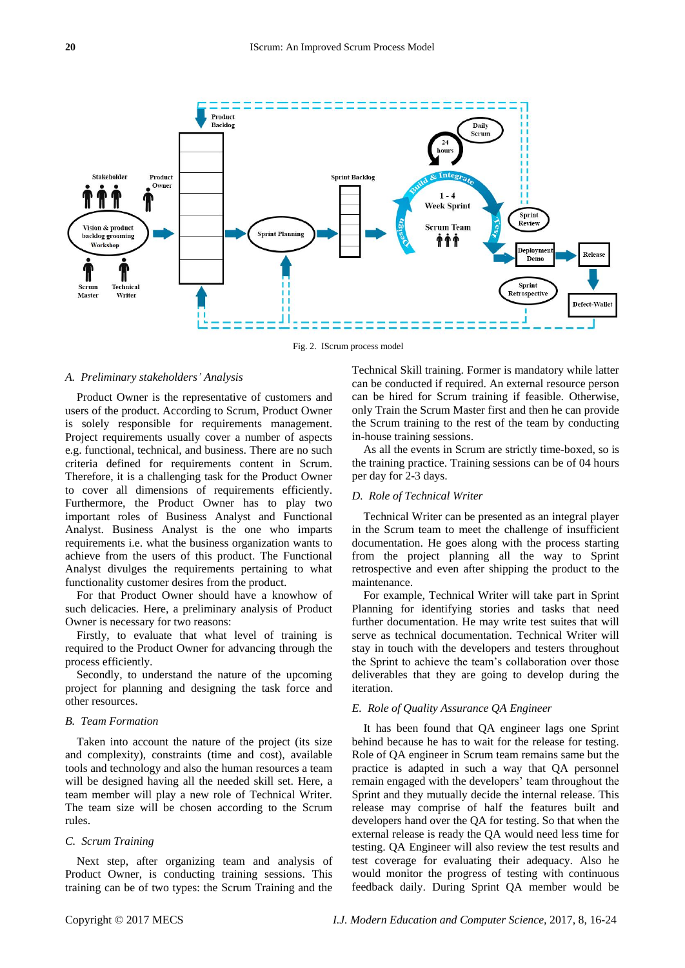

Fig. 2. IScrum process model

#### *A. Preliminary stakeholders' Analysis*

Product Owner is the representative of customers and users of the product. According to Scrum, Product Owner is solely responsible for requirements management. Project requirements usually cover a number of aspects e.g. functional, technical, and business. There are no such criteria defined for requirements content in Scrum. Therefore, it is a challenging task for the Product Owner to cover all dimensions of requirements efficiently. Furthermore, the Product Owner has to play two important roles of Business Analyst and Functional Analyst. Business Analyst is the one who imparts requirements i.e. what the business organization wants to achieve from the users of this product. The Functional Analyst divulges the requirements pertaining to what functionality customer desires from the product.

For that Product Owner should have a knowhow of such delicacies. Here, a preliminary analysis of Product Owner is necessary for two reasons:

Firstly, to evaluate that what level of training is required to the Product Owner for advancing through the process efficiently.

Secondly, to understand the nature of the upcoming project for planning and designing the task force and other resources.

#### *B. Team Formation*

Taken into account the nature of the project (its size and complexity), constraints (time and cost), available tools and technology and also the human resources a team will be designed having all the needed skill set. Here, a team member will play a new role of Technical Writer. The team size will be chosen according to the Scrum rules.

#### *C. Scrum Training*

Next step, after organizing team and analysis of Product Owner, is conducting training sessions. This training can be of two types: the Scrum Training and the Technical Skill training. Former is mandatory while latter can be conducted if required. An external resource person can be hired for Scrum training if feasible. Otherwise, only Train the Scrum Master first and then he can provide the Scrum training to the rest of the team by conducting in-house training sessions.

As all the events in Scrum are strictly time-boxed, so is the training practice. Training sessions can be of 04 hours per day for 2-3 days.

### *D. Role of Technical Writer*

Technical Writer can be presented as an integral player in the Scrum team to meet the challenge of insufficient documentation. He goes along with the process starting from the project planning all the way to Sprint retrospective and even after shipping the product to the maintenance.

For example, Technical Writer will take part in Sprint Planning for identifying stories and tasks that need further documentation. He may write test suites that will serve as technical documentation. Technical Writer will stay in touch with the developers and testers throughout the Sprint to achieve the team's collaboration over those deliverables that they are going to develop during the iteration.

#### *E. Role of Quality Assurance QA Engineer*

It has been found that QA engineer lags one Sprint behind because he has to wait for the release for testing. Role of QA engineer in Scrum team remains same but the practice is adapted in such a way that QA personnel remain engaged with the developers' team throughout the Sprint and they mutually decide the internal release. This release may comprise of half the features built and developers hand over the QA for testing. So that when the external release is ready the QA would need less time for testing. QA Engineer will also review the test results and test coverage for evaluating their adequacy. Also he would monitor the progress of testing with continuous feedback daily. During Sprint QA member would be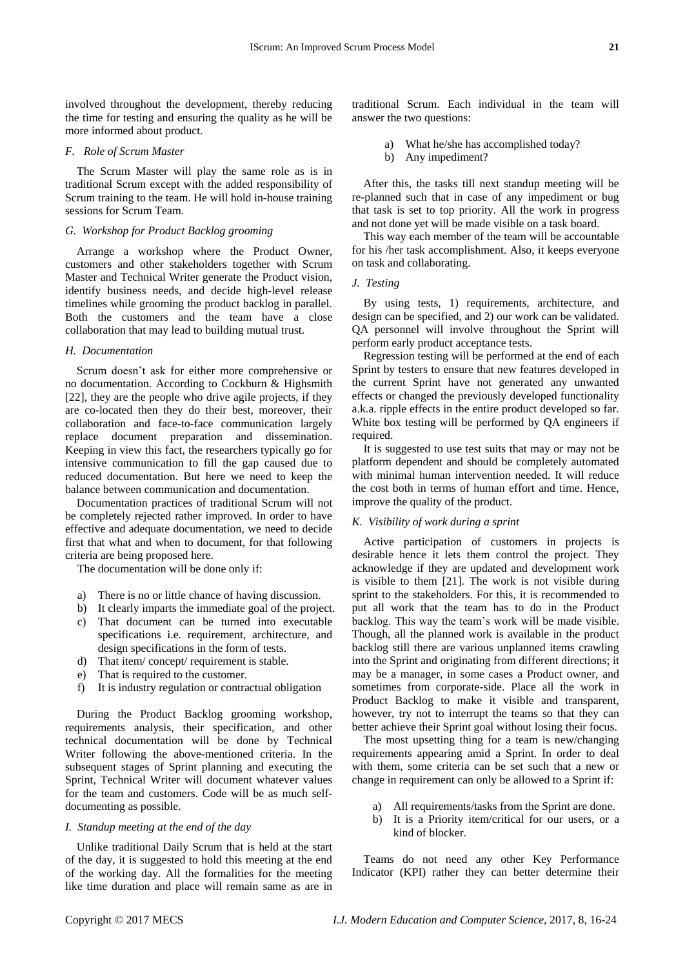# more informed about product. *F. Role of Scrum Master*

The Scrum Master will play the same role as is in traditional Scrum except with the added responsibility of Scrum training to the team. He will hold in-house training sessions for Scrum Team.

the time for testing and ensuring the quality as he will be

# *G. Workshop for Product Backlog grooming*

Arrange a workshop where the Product Owner, customers and other stakeholders together with Scrum Master and Technical Writer generate the Product vision, identify business needs, and decide high-level release timelines while grooming the product backlog in parallel. Both the customers and the team have a close collaboration that may lead to building mutual trust.

#### *H. Documentation*

Scrum doesn't ask for either more comprehensive or no documentation. According to Cockburn & Highsmith [22], they are the people who drive agile projects, if they are co-located then they do their best, moreover, their collaboration and face-to-face communication largely replace document preparation and dissemination. Keeping in view this fact, the researchers typically go for intensive communication to fill the gap caused due to reduced documentation. But here we need to keep the balance between communication and documentation.

Documentation practices of traditional Scrum will not be completely rejected rather improved. In order to have effective and adequate documentation, we need to decide first that what and when to document, for that following criteria are being proposed here.

The documentation will be done only if:

- a) There is no or little chance of having discussion.
- b) It clearly imparts the immediate goal of the project.
- c) That document can be turned into executable specifications i.e. requirement, architecture, and design specifications in the form of tests.
- d) That item/ concept/ requirement is stable.
- e) That is required to the customer.
- f) It is industry regulation or contractual obligation

During the Product Backlog grooming workshop, requirements analysis, their specification, and other technical documentation will be done by Technical Writer following the above-mentioned criteria. In the subsequent stages of Sprint planning and executing the Sprint, Technical Writer will document whatever values for the team and customers. Code will be as much selfdocumenting as possible.

#### *I. Standup meeting at the end of the day*

Unlike traditional Daily Scrum that is held at the start of the day, it is suggested to hold this meeting at the end of the working day. All the formalities for the meeting like time duration and place will remain same as are in

traditional Scrum. Each individual in the team will answer the two questions:

- a) What he/she has accomplished today?
- b) Any impediment?

After this, the tasks till next standup meeting will be re-planned such that in case of any impediment or bug that task is set to top priority. All the work in progress and not done yet will be made visible on a task board.

This way each member of the team will be accountable for his /her task accomplishment. Also, it keeps everyone on task and collaborating.

*J. Testing*

By using tests, 1) requirements, architecture, and design can be specified, and 2) our work can be validated. QA personnel will involve throughout the Sprint will perform early product acceptance tests.

Regression testing will be performed at the end of each Sprint by testers to ensure that new features developed in the current Sprint have not generated any unwanted effects or changed the previously developed functionality a.k.a. ripple effects in the entire product developed so far. White box testing will be performed by QA engineers if required.

It is suggested to use test suits that may or may not be platform dependent and should be completely automated with minimal human intervention needed. It will reduce the cost both in terms of human effort and time. Hence, improve the quality of the product.

## *K. Visibility of work during a sprint*

Active participation of customers in projects is desirable hence it lets them control the project. They acknowledge if they are updated and development work is visible to them [21]. The work is not visible during sprint to the stakeholders. For this, it is recommended to put all work that the team has to do in the Product backlog. This way the team's work will be made visible. Though, all the planned work is available in the product backlog still there are various unplanned items crawling into the Sprint and originating from different directions; it may be a manager, in some cases a Product owner, and sometimes from corporate-side. Place all the work in Product Backlog to make it visible and transparent, however, try not to interrupt the teams so that they can better achieve their Sprint goal without losing their focus.

The most upsetting thing for a team is new/changing requirements appearing amid a Sprint. In order to deal with them, some criteria can be set such that a new or change in requirement can only be allowed to a Sprint if:

- a) All requirements/tasks from the Sprint are done.
- b) It is a Priority item/critical for our users, or a kind of blocker.

Teams do not need any other Key Performance Indicator (KPI) rather they can better determine their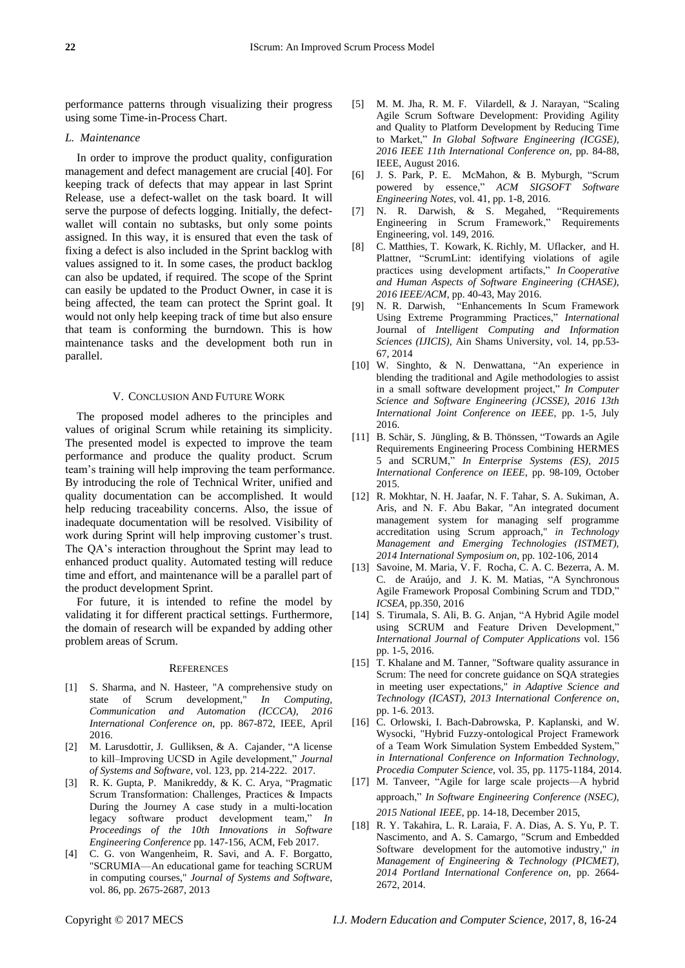performance patterns through visualizing their progress using some Time-in-Process Chart.

#### *L. Maintenance*

In order to improve the product quality, configuration management and defect management are crucial [40]. For keeping track of defects that may appear in last Sprint Release, use a defect-wallet on the task board. It will serve the purpose of defects logging. Initially, the defectwallet will contain no subtasks, but only some points assigned. In this way, it is ensured that even the task of fixing a defect is also included in the Sprint backlog with values assigned to it. In some cases, the product backlog can also be updated, if required. The scope of the Sprint can easily be updated to the Product Owner, in case it is being affected, the team can protect the Sprint goal. It would not only help keeping track of time but also ensure that team is conforming the burndown. This is how maintenance tasks and the development both run in parallel.

#### V. CONCLUSION AND FUTURE WORK

The proposed model adheres to the principles and values of original Scrum while retaining its simplicity. The presented model is expected to improve the team performance and produce the quality product. Scrum team's training will help improving the team performance. By introducing the role of Technical Writer, unified and quality documentation can be accomplished. It would help reducing traceability concerns. Also, the issue of inadequate documentation will be resolved. Visibility of work during Sprint will help improving customer's trust. The QA's interaction throughout the Sprint may lead to enhanced product quality. Automated testing will reduce time and effort, and maintenance will be a parallel part of the product development Sprint.

For future, it is intended to refine the model by validating it for different practical settings. Furthermore, the domain of research will be expanded by adding other problem areas of Scrum.

#### **REFERENCES**

- [1] S. Sharma, and N. Hasteer, "A comprehensive study on state of Scrum development," *In Computing, Communication and Automation (ICCCA), 2016 International Conference on*, pp. 867-872, IEEE, April 2016.
- [2] M. Larusdottir, J. Gulliksen, & A. Cajander, "A license to kill–Improving UCSD in Agile development," *Journal of Systems and Software*, vol. 123, pp. 214-222. 2017.
- [3] R. K. Gupta, P. Manikreddy, & K. C. Arya, "Pragmatic Scrum Transformation: Challenges, Practices & Impacts During the Journey A case study in a multi-location legacy software product development team," *In Proceedings of the 10th Innovations in Software Engineering Conference* pp. 147-156, ACM, Feb 2017.
- [4] C. G. von Wangenheim, R. Savi, and A. F. Borgatto, "SCRUMIA—An educational game for teaching SCRUM in computing courses," *Journal of Systems and Software*, vol. 86, pp. 2675-2687, 2013
- [5] M. M. Jha, R. M. F. Vilardell, & J. Narayan, "Scaling Agile Scrum Software Development: Providing Agility and Quality to Platform Development by Reducing Time to Market," *In Global Software Engineering (ICGSE), 2016 IEEE 11th International Conference on,* pp. 84-88, IEEE, August 2016.
- [6] J. S. Park, P. E. McMahon, & B. Myburgh, "Scrum powered by essence," *ACM SIGSOFT Software Engineering Notes*, vol. 41, pp. 1-8, 2016.
- [7] N. R. Darwish, & S. Megahed, "Requirements Engineering in Scrum Framework," Requirements Engineering, vol. 149, 2016.
- [8] C. Matthies, T. Kowark, K. Richly, M. Uflacker, and H. Plattner, "ScrumLint: identifying violations of agile practices using development artifacts," *In Cooperative and Human Aspects of Software Engineering (CHASE), 2016 IEEE/ACM*, pp. 40-43, May 2016.
- [9] N. R. Darwish, "Enhancements In Scum Framework Using Extreme Programming Practices," *International* Journal of *Intelligent Computing and Information Sciences (IJICIS),* Ain Shams University, vol. 14, pp.53- 67, 2014
- [10] W. Singhto, & N. Denwattana, "An experience in blending the traditional and Agile methodologies to assist in a small software development project," *In Computer Science and Software Engineering (JCSSE), 2016 13th International Joint Conference on IEEE,* pp. 1-5, July 2016.
- [11] B. Schär, S. Jüngling, & B. Thönssen, "Towards an Agile Requirements Engineering Process Combining HERMES 5 and SCRUM," *In Enterprise Systems (ES), 2015 International Conference on IEEE*, pp. 98-109, October 2015.
- [12] R. Mokhtar, N. H. Jaafar, N. F. Tahar, S. A. Sukiman, A. Aris, and N. F. Abu Bakar, "An integrated document management system for managing self programme accreditation using Scrum approach," *in Technology Management and Emerging Technologies (ISTMET), 2014 International Symposium on,* pp. 102-106, 2014
- [13] Savoine, M. Maria, V. F. Rocha, C. A. C. Bezerra, A. M. C. de Araújo, and J. K. M. Matias, "A Synchronous Agile Framework Proposal Combining Scrum and TDD," *ICSEA*, pp.350, 2016
- [14] S. Tirumala, S. Ali, B. G. Anjan, "A Hybrid Agile model using SCRUM and Feature Driven Development," *International Journal of Computer Applications* vol. 156 pp. 1-5, 2016.
- [15] T. Khalane and M. Tanner, "Software quality assurance in Scrum: The need for concrete guidance on SQA strategies in meeting user expectations," *in Adaptive Science and Technology (ICAST), 2013 International Conference on*, pp. 1-6. 2013.
- [16] C. Orlowski, I. Bach-Dabrowska, P. Kaplanski, and W. Wysocki, "Hybrid Fuzzy-ontological Project Framework of a Team Work Simulation System Embedded System," *in International Conference on Information Technology, Procedia Computer Science,* vol. 35, pp. 1175-1184, 2014.
- [17] M. Tanveer, "Agile for large scale projects—A hybrid approach," *In Software Engineering Conference (NSEC), 2015 National IEEE*, pp. 14-18, December 2015,
- [18] R. Y. Takahira, L. R. Laraia, F. A. Dias, A. S. Yu, P. T. Nascimento, and A. S. Camargo, "Scrum and Embedded Software development for the automotive industry," *in Management of Engineering & Technology (PICMET), 2014 Portland International Conference on,* pp. 2664- 2672, 2014.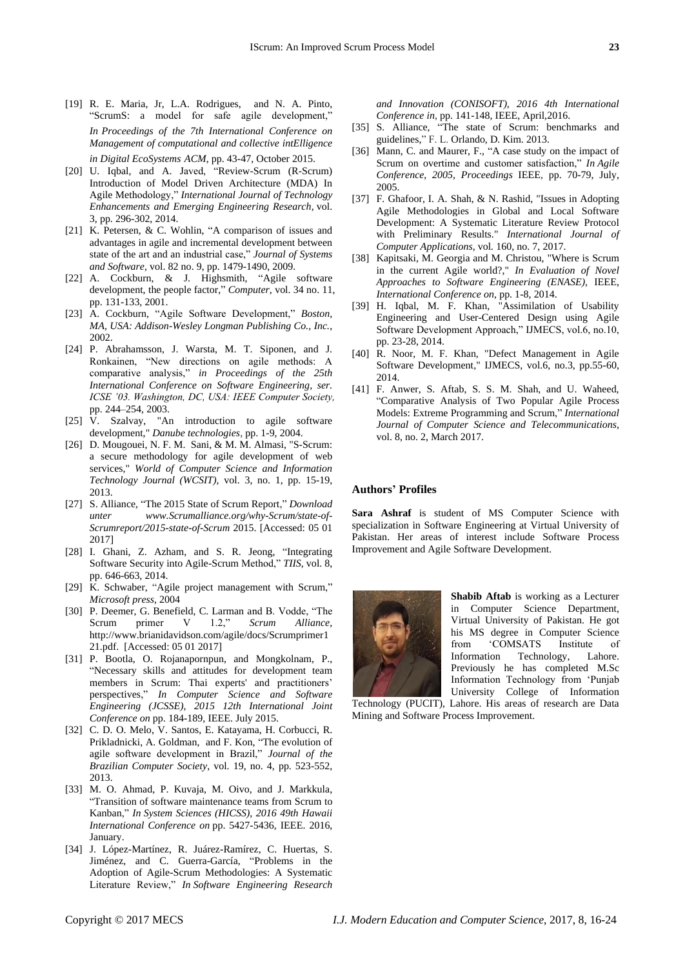- [19] R. E. Maria, Jr, L.A. Rodrigues, and N. A. Pinto, "ScrumS: a model for safe agile development," *In Proceedings of the 7th International Conference on Management of computational and collective intElligence in Digital EcoSystems ACM*, pp. 43-47, October 2015.
- [20] U. Iqbal, and A. Javed, "Review-Scrum (R-Scrum) Introduction of Model Driven Architecture (MDA) In Agile Methodology," *International Journal of Technology Enhancements and Emerging Engineering Research,* vol. 3, pp. 296-302, 2014.
- [21] K. Petersen, & C. Wohlin, "A comparison of issues and advantages in agile and incremental development between state of the art and an industrial case," *Journal of Systems and Software*, vol. 82 no. 9, pp. 1479-1490, 2009.
- [22] A. Cockburn, & J. Highsmith, "Agile software development, the people factor," *Computer*, vol. 34 no. 11, pp. 131-133, 2001.
- [23] A. Cockburn, "Agile Software Development," *Boston, MA, USA: Addison-Wesley Longman Publishing Co., Inc.*, 2002.
- [24] P. Abrahamsson, J. Warsta, M. T. Siponen, and J. Ronkainen, "New directions on agile methods: A comparative analysis," *in Proceedings of the 25th International Conference on Software Engineering, ser. ICSE '03. Washington, DC, USA: IEEE Computer Society,* pp. 244–254, 2003.
- [25] V. Szalvay, "An introduction to agile software development," *Danube technologies*, pp. 1-9, 2004.
- [26] D. Mougouei, N. F. M. Sani, & M. M. Almasi, "S-Scrum: a secure methodology for agile development of web services," *World of Computer Science and Information Technology Journal (WCSIT),* vol. 3, no. 1, pp. 15-19, 2013.
- [27] S. Alliance, "The 2015 State of Scrum Report," *Download unter www.Scrumalliance.org/why-Scrum/state-of-Scrumreport/2015-state-of-Scrum* 2015. [Accessed: 05 01 2017]
- [28] I. Ghani, Z. Azham, and S. R. Jeong, "Integrating Software Security into Agile-Scrum Method," *TIIS*, vol. 8, pp. 646-663, 2014.
- [29] K. Schwaber, "Agile project management with Scrum," *Microsoft press,* 2004
- [30] P. Deemer, G. Benefield, C. Larman and B. Vodde, "The Scrum primer V 1.2," *Scrum Alliance*, http://www.brianidavidson.com/agile/docs/Scrumprimer1 21.pdf. [Accessed: 05 01 2017]
- [31] P. Bootla, O. Rojanapornpun, and Mongkolnam, P., "Necessary skills and attitudes for development team members in Scrum: Thai experts' and practitioners' perspectives," *In Computer Science and Software Engineering (JCSSE), 2015 12th International Joint Conference on* pp. 184-189, IEEE. July 2015.
- [32] C. D. O. Melo, V. Santos, E. Katayama, H. Corbucci, R. Prikladnicki, A. Goldman, and F. Kon, "The evolution of agile software development in Brazil," *Journal of the Brazilian Computer Society*, vol. 19, no. 4, pp. 523-552, 2013.
- [33] M. O. Ahmad, P. Kuvaja, M. Oivo, and J. Markkula, "Transition of software maintenance teams from Scrum to Kanban," *In System Sciences (HICSS), 2016 49th Hawaii International Conference on* pp. 5427-5436, IEEE. 2016, January.
- [34] J. López-Martínez, R. Juárez-Ramírez, C. Huertas, S. Jiménez, and C. Guerra-García, "Problems in the Adoption of Agile-Scrum Methodologies: A Systematic Literature Review," *In Software Engineering Research*

*and Innovation (CONISOFT), 2016 4th International Conference in*, pp. 141-148, IEEE, April,2016.

- [35] S. Alliance, "The state of Scrum: benchmarks and guidelines," F. L. Orlando, D. Kim. 2013.
- [36] Mann, C. and Maurer, F., "A case study on the impact of Scrum on overtime and customer satisfaction," *In Agile Conference, 2005, Proceedings* IEEE, pp. 70-79, July, 2005.
- [37] F. Ghafoor, I. A. Shah, & N. Rashid, "Issues in Adopting Agile Methodologies in Global and Local Software Development: A Systematic Literature Review Protocol with Preliminary Results." *International Journal of Computer Applications,* vol*.* 160, no. 7, 2017.
- [38] Kapitsaki, M. Georgia and M. Christou, "Where is Scrum in the current Agile world?," *In Evaluation of Novel Approaches to Software Engineering (ENASE),* IEEE, *International Conference on*, pp. 1-8, 2014.
- [39] H. Iqbal, M. F. Khan, "Assimilation of Usability Engineering and User-Centered Design using Agile Software Development Approach," IJMECS, vol.6, no.10, pp. 23-28, 2014.
- [40] R. Noor, M. F. Khan, "Defect Management in Agile Software Development," IJMECS, vol.6, no.3, pp.55-60, 2014.
- [41] F. Anwer, S. Aftab, S. S. M. Shah, and U. Waheed, "Comparative Analysis of Two Popular Agile Process Models: Extreme Programming and Scrum," *International Journal of Computer Science and Telecommunications*, vol. 8, no. 2, March 2017.

#### **Authors' Profiles**

**Sara Ashraf** is student of MS Computer Science with specialization in Software Engineering at Virtual University of Pakistan. Her areas of interest include Software Process Improvement and Agile Software Development.



**Shabib Aftab** is working as a Lecturer in Computer Science Department, Virtual University of Pakistan. He got his MS degree in Computer Science from 'COMSATS Institute of Information Technology, Lahore. Previously he has completed M.Sc Information Technology from 'Punjab University College of Information

Technology (PUCIT), Lahore. His areas of research are Data Mining and Software Process Improvement.